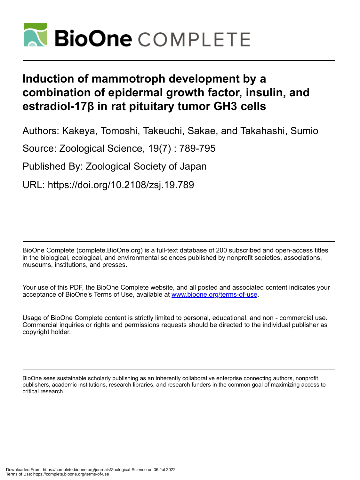

# **Induction of mammotroph development by a combination of epidermal growth factor, insulin, and estradiol-17β in rat pituitary tumor GH3 cells**

Authors: Kakeya, Tomoshi, Takeuchi, Sakae, and Takahashi, Sumio

Source: Zoological Science, 19(7) : 789-795

Published By: Zoological Society of Japan

URL: https://doi.org/10.2108/zsj.19.789

BioOne Complete (complete.BioOne.org) is a full-text database of 200 subscribed and open-access titles in the biological, ecological, and environmental sciences published by nonprofit societies, associations, museums, institutions, and presses.

Your use of this PDF, the BioOne Complete website, and all posted and associated content indicates your acceptance of BioOne's Terms of Use, available at www.bioone.org/terms-of-use.

Usage of BioOne Complete content is strictly limited to personal, educational, and non - commercial use. Commercial inquiries or rights and permissions requests should be directed to the individual publisher as copyright holder.

BioOne sees sustainable scholarly publishing as an inherently collaborative enterprise connecting authors, nonprofit publishers, academic institutions, research libraries, and research funders in the common goal of maximizing access to critical research.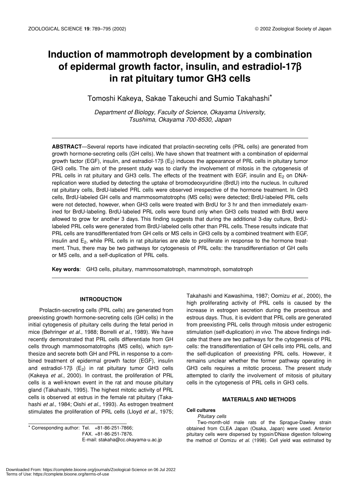## **Induction of mammotroph development by a combination of epidermal growth factor, insulin, and estradiol-17**β **in rat pituitary tumor GH3 cells**

Tomoshi Kakeya, Sakae Takeuchi and Sumio Takahashi\*

*Department of Biology, Faculty of Science, Okayama University, Tsushima, Okayama 700-8530, Japan*

**ABSTRACT**—Several reports have indicated that prolactin-secreting cells (PRL cells) are generated from growth hormone-secreting cells (GH cells). We have shown that treatment with a combination of epidermal growth factor (EGF), insulin, and estradiol-17β (E<sub>2</sub>) induces the appearance of PRL cells in pituitary tumor GH3 cells. The aim of the present study was to clarify the involvement of mitosis in the cytogenesis of PRL cells in rat pituitary and GH3 cells. The effects of the treatment with EGF, insulin and  $E_2$  on DNAreplication were studied by detecting the uptake of bromodeoxyuridine (BrdU) into the nucleus. In cultured rat pituitary cells, BrdU-labeled PRL cells were observed irrespective of the hormone treatment. In GH3 cells, BrdU-labeled GH cells and mammosomatotrophs (MS cells) were detected; BrdU-labeled PRL cells were not detected, however, when GH3 cells were treated with BrdU for 3 hr and then immediately examined for BrdU-labeling. BrdU-labeled PRL cells were found only when GH3 cells treated with BrdU were allowed to grow for another 3 days. This finding suggests that during the additional 3-day culture, BrdUlabeled PRL cells were generated from BrdU-labeled cells other than PRL cells. These results indicate that PRL cells are transdifferentiated from GH cells or MS cells in GH3 cells by a combined treatment with EGF, insulin and E<sub>2</sub>, while PRL cells in rat pituitaries are able to proliferate in response to the hormone treatment. Thus, there may be two pathways for cytogenesis of PRL cells: the transdifferentiation of GH cells or MS cells, and a self-duplication of PRL cells.

**Key words**: GH3 cells, pituitary, mammosomatotroph, mammotroph, somatotroph

## **INTRODUCTION**

Prolactin-secreting cells (PRL cells) are generated from preexisting growth hormone-secreting cells (GH cells) in the initial cytogenesis of pituitary cells during the fetal period in mice (Behringer *et al.*, 1988; Borrelli *et al*., 1989). We have recently demonstrated that PRL cells differentiate from GH cells through mammosomatotrophs (MS cells), which synthesize and secrete both GH and PRL in response to a combined treatment of epidermal growth factor (EGF), insulin and estradiol-17 $\beta$  (E<sub>2</sub>) in rat pituitary tumor GH3 cells (Kakeya *et al*., 2000). In contrast, the proliferation of PRL cells is a well-known event in the rat and mouse pituitary gland (Takahashi, 1995). The highest mitotic activity of PRL cells is observed at estrus in the female rat pituitary (Takahashi *et al*., 1984; Oishi *et al*., 1993). As estrogen treatment stimulates the proliferation of PRL cells (Lloyd *et al*., 1975;

\* Corresponding author: Tel. +81-86-251-7866; FAX. +81-86-251-7876. E-mail: stakaha@cc.okayama-u.ac.jp

Takahashi and Kawashima, 1987; Oomizu *et al*., 2000), the high proliferating activity of PRL cells is caused by the increase in estrogen secretion during the proestrous and estrous days. Thus, it is evident that PRL cells are generated from preexisting PRL cells through mitosis under estrogenic stimulation (self-duplication) *in vivo*. The above findings indicate that there are two pathways for the cytogenesis of PRL cells: the transdifferentiation of GH cells into PRL cells, and the self-duplication of preexisting PRL cells. However, it remains unclear whether the former pathway operating in GH3 cells requires a mitotic process. The present study attempted to clarify the involvement of mitosis of pituitary cells in the cytogenesis of PRL cells in GH3 cells.

### **MATERIALS AND METHODS**

## **Cell cultures**

*Pituitary cells* Two-month-old male rats of the Sprague-Dawley strain obtained from CLEA Japan (Osaka, Japan) were used. Anterior pituitary cells were dispersed by trypsin/DNase digestion following the method of Oomizu *et al*. (1998). Cell yield was estimated by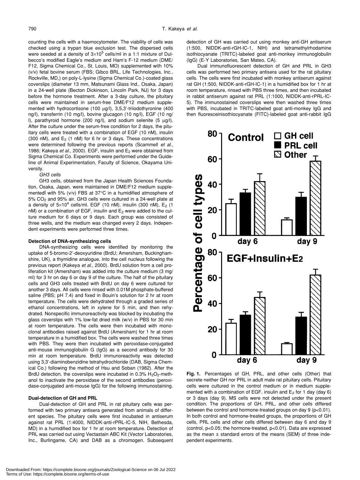counting the cells with a haemocytometer. The viability of cells was checked using a trypan blue exclusion test. The dispersed cells were seeded at a density of  $3\times10^5$  cells/ml in a 1:1 mixture of Dulbecco's modified Eagle's medium and Ham's F-12 medium (DME/ F12, Sigma Chemical Co., St. Louis, MO) supplemented with 10% (v/v) fetal bovine serum (FBS; Gibco BRL, Life Technologies, Inc., Rockville, MD,) on poly-L-lysine (Sigma Chemical Co.)-coated glass coverslips (diameter 13 mm, Matsunami Glass Ind., Osaka, Japan) in a 24-well plate (Becton Dickinson, Lincoln Park, NJ) for 3 days before the hormone treatment. After a 3-day culture, the pituitary cells were maintained in serum-free DME/F12 medium supplemented with hydrocortisone (100 µg/l), 3,5,3'-triiodothyronine (400 ng/l), transferrin (10 mg/l), bovine glucagon (10 ng/l), EGF (10 ng/ l), parathyroid hormone (200 ng/l), and sodium selenite (5 µg/l). After the culture under the serum-free condition for 2 days, the pituitary cells were treated with a combination of EGF (10 nM), insulin (300 nM), and  $E_2$  (1 nM) for 6 hr or 3 days. These concentrations were determined following the previous reports (Scammell *et al*., 1986; Kakeya *et al.*, 2000). EGF, insulin and E<sub>2</sub> were obtained from Sigma Chemical Co. Experiments were performed under the Guideline of Animal Experimentation, Faculty of Science, Okayama University.

*GH3 cells*

GH3 cells, obtained from the Japan Health Sciences Foundation, Osaka, Japan, were maintained in DME/F12 medium supplementedl with 5% (v/v) FBS at 37°C in a humidified atmosphere of 5% CO2 and 95% air. GH3 cells were cultured in a 24-well plate at a density of 5×10<sup>4</sup> cells/ml. EGF (10 nM), insulin (300 nM), E<sub>2</sub> (1  $nM$ ) or a combination of EGF, insulin and  $E_2$  were added to the culture medium for 6 days or 9 days. Each group was consisted of three wells, and the medium was changed every 2 days. Independent experiments were performed three times.

#### **Detection of DNA-synthesizing cells**

DNA-synthesizing cells were identified by monitoring the uptake of 5-bromo-2'-deoxyuridine (BrdU; Amersham, Buckinghamshire, UK), a thymidine analogue, into the cell nucleus following the previous report (Kakeya *et al*., 2000). BrdU solution from a cell proliferation kit (Amersham) was added into the culture medium (3 mg/ ml) for 3 hr on day 6 or day 9 of the culture. The half of the pituitary cells and GH3 cells treated with BrdU on day 6 were cultured for another 3 days. All cells were rinsed with 0.01M phosphate-buffered saline (PBS; pH 7.4) and fixed in Bouin's solution for 2 hr at room temperature. The cells were dehydrated through a graded series of ethanol concentrations, left in xylene for 5 min, and then rehydrated. Nonspecific immunoreactivity was blocked by incubating the glass coverslips with 1% low-fat dried milk (w/v) in PBS for 30 min at room temperature. The cells were then incubated with monoclonal antibodies raised against BrdU (Amersham) for 1 hr at room temperature in a humidified box. The cells were washed three times with PBS. They were then incubated with peroxidase-conjugated anti-mouse immunoglobulin G (IgG) as a second antibody for 30 min at room temperature. BrdU immunoreactivity was detected using 3,3'-diaminobenzidine tetrahydrochloride (DAB, Sigma Chemical Co.) following the method of Hsu and Soban (1982). After the BrdU detection, the coverslips were incubated in 0.3%  $H_2O_2$ -methanol to inactivate the peroxidase of the second antibodies (peroxidase-conjugated anti-mouse IgG) for the following immunostaining.

## **Dual-detection of GH and PRL**

Dual-detection of GH and PRL in rat pituitary cells was performed with two primary antisera generated from animals of different species. The pituitary cells were first incubated in antiserum against rat PRL (1:4000, NIDDK-anti-rPRL-IC-5, NIH, Bethesda, MD) in a humidified box for 1 hr at room temperature. Detection of PRL was carried out using Vectastain ABC Kit (Vector Laboratories, Inc., Burlingame, CA) and DAB as a chromogen. Subsequent detection of GH was carried out using monkey anti-GH antiserum (1:500, NIDDK-anti-rGH-IC-1, NIH) and tetramethylrhodamine isothiocyanate (TRITC)-labeled goat anti-monkey immunoglobulin (IgG) (E-Y Laboratories, San Mateo, CA).

Dual immunofluorescent detection of GH and PRL in GH3 cells was performed two primary antisera used for the rat pituitary cells. The cells were first incubated with monkey antiserum against rat GH (1:500, NIDDK-anti-rGH-IC-1) in a humidified box for 1 hr at room temperature, rinsed with PBS three times, and then incubated in rabbit antiserum against rat PRL (1:1000, NIDDK-anti-rPRL-IC-5). The immunostained coverslips were then washed three times with PBS, incubated in TRITC-labeled goat anti-monkey IgG and then fluoresceinisothiocyanate (FITC)-labeled goat anti-rabbit IgG



**Fig. 1.** Percentages of GH, PRL, and other cells (Other) that secrete neither GH nor PRL in adult male rat pituitary cells. Pituitary cells were cultured in the control medium or in medium supplemented with a combination of EGF, insulin and  $E_2$  for 1 day (day 6) or 3 days (day 9). MS cells were not detected under the present condition. The proportions of GH, PRL, and other cells differed between the control and hormone-treated groups on day 9 (p<0.01). In both control and hormone-treated groups, the proportions of GH cells, PRL cells and other cells differed between day 6 and day 9 (control, p<0.05; the hormone-treated, p<0.01). Data are expressed as the mean ± standard errors of the means (SEM) of three independent experiments.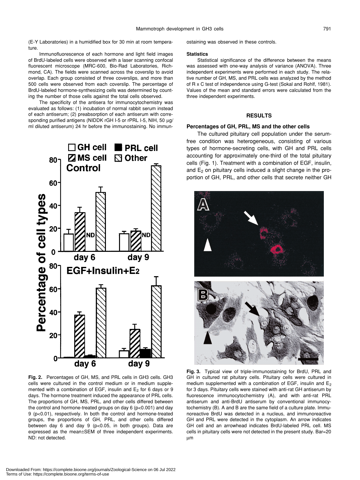(E-Y Laboratories) in a humidified box for 30 min at room temperature.

Immunofluorescence of each hormone and light field images of BrdU-labeled cells were observed with a laser scanning confocal fluorescent microscope (MRC-600, Bio-Rad Laboratories, Richmond, CA). The fields were scanned across the coverslip to avoid overlap. Each group consisted of three coverslips, and more than 500 cells were observed from each coverslip. The percentage of BrdU-labeled hormone-synthesizing cells was determined by counting the number of those cells against the total cells observed.

The specificity of the antisera for immunocytochemistry was evaluated as follows: (1) incubation of normal rabbit serum instead of each antiserum; (2) preabsorption of each antiserum with corresponding purified antigens (NIDDK rGH I-5 or rPRL I-5, NIH, 50 µg/ ml diluted antiserum) 24 hr before the immunostaining. No immun-



**Fig. 2.** Percentages of GH, MS, and PRL cells in GH3 cells. GH3 cells were cultured in the control medium or in medium supplemented with a combination of EGF, insulin and  $E_2$  for 6 days or 9 days. The hormone treatment induced the appearance of PRL cells. The proportions of GH, MS, PRL, and other cells differed between the control and hormone-treated groups on day 6 (p<0.001) and day 9 (p<0.01), respectively. In both the control and hormone-treated groups, the proportions of GH, PRL, and other cells differed between day 6 and day 9 (p<0.05, in both groups). Data are expressed as the mean±SEM of three independent experiments. ND: not detected.

ostaining was observed in these controls.

#### **Statistics**

Statistical significance of the difference between the means was assessed with one-way analysis of variance (ANOVA). Three independent experiments were performed in each study. The relative number of GH, MS, and PRL cells was analyzed by the method of R x C test of independence using G-test (Sokal and Rohlf, 1981). Values of the mean and standard errors were calculated from the three independent experiments.

## **RESULTS**

## **Percentages of GH, PRL, MS and the other cells**

The cultured pituitary cell population under the serumfree condition was heterogeneous, consisting of various types of hormone-secreting cells, with GH and PRL cells accounting for approximately one-third of the total pituitary cells (Fig. 1). Treatment with a combination of EGF, insulin, and  $E_2$  on pituitary cells induced a slight change in the proportion of GH, PRL, and other cells that secrete neither GH



**Fig. 3.** Typical view of triple-immunostaining for BrdU, PRL and GH in cultured rat pituitary cells. Pituitary cells were cultured in medium supplemented with a combination of EGF, insulin and  $E_2$ for 3 days. Pituitary cells were stained with anti-rat GH antiserum by fluorescence immunocytochemistry (A), and with anti-rat PRL antiserum and anti-BrdU antiserum by conventional immunocytochemistry (B). A and B are the same field of a culture plate. Immunoreactive BrdU was detected in a nucleus, and immunoreactive GH and PRL were detected in the cytoplasm. An arrow indicates GH cell and an arrowhead indicates BrdU-labeled PRL cell. MS cells in pituitary cells were not detected in the present study. Bar=20 µm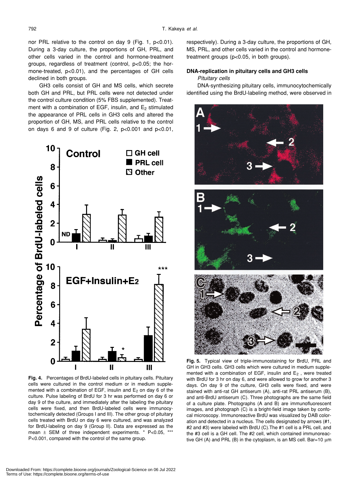nor PRL relative to the control on day 9 (Fig. 1, p<0.01). During a 3-day culture, the proportions of GH, PRL, and other cells varied in the control and hormone-treatment groups, regardless of treatment (control, p<0.05; the hormone-treated, p<0.01), and the percentages of GH cells declined in both groups.

GH3 cells consist of GH and MS cells, which secrete both GH and PRL, but PRL cells were not detected under the control culture condition (5% FBS supplemented). Treatment with a combination of EGF, insulin, and  $E<sub>2</sub>$  stimulated the appearance of PRL cells in GH3 cells and altered the proportion of GH, MS, and PRL cells relative to the control on days 6 and 9 of culture (Fig. 2, p<0.001 and p<0.01,



**Fig. 4.** Percentages of BrdU-labeled cells in pituitary cells. Pituitary cells were cultured in the control medium or in medium supplemented with a combination of EGF, insulin and  $E_2$  on day 6 of the culture. Pulse labeling of BrdU for 3 hr was performed on day 6 or day 9 of the culture, and immediately after the labeling the pituitary cells were fixed, and then BrdU-labeled cells were immunocytochemically detected (Groups I and III). The other group of pituitary cells treated with BrdU on day 6 were cultured, and was analyzed for BrdU-labeling on day 9 (Group II). Data are expressed as the mean  $\pm$  SEM of three independent experiments.  $*$  P<0.05,  $*$ P<0.001, compared with the control of the same group.

respectively). During a 3-day culture, the proportions of GH, MS, PRL, and other cells varied in the control and hormonetreatment groups (p<0.05, in both groups).

## **DNA-replication in pituitary cells and GH3 cells**

*Pituitary cells*

DNA-synthesizing pituitary cells, immunocytochemically identified using the BrdU-labeling method, were observed in



**Fig. 5.** Typical view of triple-immunostaining for BrdU, PRL and GH in GH3 cells. GH3 cells which were cultured in medium supplemented with a combination of EGF, insulin and  $E_2$  , were treated with BrdU for 3 hr on day 6, and were allowed to grow for another 3 days. On day 9 of the culture, GH3 cells were fixed, and were stained with anti-rat GH antiserum (A), anti-rat PRL antiserum (B), and anti-BrdU antiserum (C). Three photographs are the same field of a culture plate. Photographs (A and B) are immunofluorescent images, and photograph (C) is a bright-field image taken by confocal microscopy. Immunoreactive BrdU was visualized by DAB coloration and detected in a nucleus. The cells designated by arrows (#1, #2 and #3) were labeled with BrdU (C).The #1 cell is a PRL cell, and the #3 cell is a GH cell. The #2 cell, which contained immunoreactive GH (A) and PRL (B) in the cytoplasm, is an MS cell. Bar=10 µm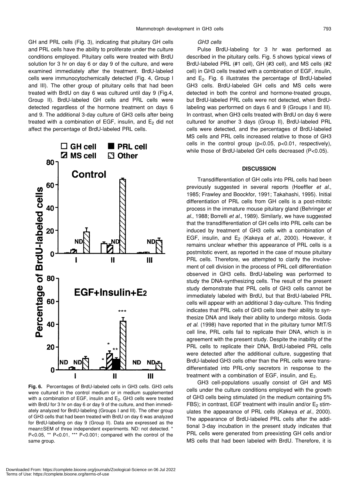GH and PRL cells (Fig. 3), indicating that pituitary GH cells and PRL cells have the ability to proliferate under the culture conditions employed. Pituitary cells were treated with BrdU solution for 3 hr on day 6 or day 9 of the culture, and were examined immediately after the treatment. BrdU-labeled cells were immunocytochemically detected (Fig. 4, Group I and III). The other group of pituitary cells that had been treated with BrdU on day 6 was cultured until day 9 (Fig.4, Group II). BrdU-labeled GH cells and PRL cells were detected regardless of the hormone treatment on days 6 and 9. The additional 3-day culture of GH3 cells after being treated with a combination of EGF, insulin, and  $E<sub>2</sub>$  did not affect the percentage of BrdU-labeled PRL cells.



**Fig. 6.** Percentages of BrdU-labeled cells in GH3 cells. GH3 cells were cultured in the control medium or in medium supplemented with a combination of EGF, insulin and  $E_2$ . GH3 cells were treated with BrdU for 3 hr on day 6 or day 9 of the culture, and then immediately analyzed for BrdU-labeling (Groups I and III). The other group of GH3 cells that had been treated with BrdU on day 6 was analyzed for BrdU-labeling on day 9 (Group II). Data are expressed as the mean±SEM of three independent experiments. ND: not detected. ' P<0.05, \*\* P<0.01, \*\*\* P<0.001; compared with the control of the same group.

*GH3 cells*

Pulse BrdU-labeling for 3 hr was performed as described in the pituitary cells. Fig. 5 shows typical views of BrdU-labeled PRL (#1 cell), GH (#3 cell), and MS cells (#2 cell) in GH3 cells treated with a combination of EGF, insulin, and  $E_2$ . Fig. 6 illustrates the percentage of BrdU-labeled GH3 cells. BrdU-labeled GH cells and MS cells were detected in both the control and hormone-treated groups, but BrdU-labeled PRL cells were not detected, when BrdUlabeling was performed on days 6 and 9 (Groups I and III). In contrast, when GH3 cells treated with BrdU on day 6 were cultured for another 3 days (Group II), BrdU-labeled PRL cells were detected, and the percentages of BrdU-labeled MS cells and PRL cells increased relative to those of GH3 cells in the control group (p<0.05, p<0.01, respectively), while those of BrdU-labeled GH cells decreased (P<0.05).

### **DISCUSSION**

Transdifferentiation of GH cells into PRL cells had been previously suggested in several reports (Hoeffler *et al*., 1985; Frawley and Boockfor, 1991; Takahashi, 1995). Initial differentiation of PRL cells from GH cells is a post-mitotic process in the immature mouse pituitary gland (Behringer *et al*., 1988; Borrelli *et al*., 1989). Similarly, we have suggested that the transdifferentiation of GH cells into PRL cells can be induced by treatment of GH3 cells with a combination of EGF, insulin, and E2 (Kakeya *et al.*, 2000). However, it remains unclear whether this appearance of PRL cells is a postmitotic event, as reported in the case of mouse pituitary PRL cells. Therefore, we attempted to clarify the involvement of cell division in the process of PRL cell differentiation observed in GH3 cells. BrdU-labeling was performed to study the DNA-synthesizing cells. The result of the present study demonstrate that PRL cells of GH3 cells cannot be immediately labeled with BrdU, but that BrdU-labeled PRL cells will appear with an additional 3 day-culture. This finding indicates that PRL cells of GH3 cells lose their ability to synthesize DNA and likely their ability to undergo mitosis. Goda *et al*. (1998) have reported that in the pituitary tumor MtT/S cell line, PRL cells fail to replicate their DNA, which is in agreement with the present study. Despite the inability of the PRL cells to replicate their DNA, BrdU-labeled PRL cells were detected after the additional culture, suggesting that BrdU-labeled GH3 cells other than the PRL cells were transdifferentiated into PRL-only secretors in response to the treatment with a combination of EGF, insulin, and  $E<sub>2</sub>$ .

GH3 cell-populations usually consist of GH and MS cells under the culture conditions employed with the growth of GH3 cells being stimulated (in the medium containing 5% FBS); in contrast, EGF treatment with insulin and/or  $E_2$  stimulates the appearance of PRL cells (Kakeya *et al*., 2000). The appearance of BrdU-labeled PRL cells after the additional 3-day incubation in the present study indicates that PRL cells were generated from preexisting GH cells and/or MS cells that had been labeled with BrdU. Therefore, it is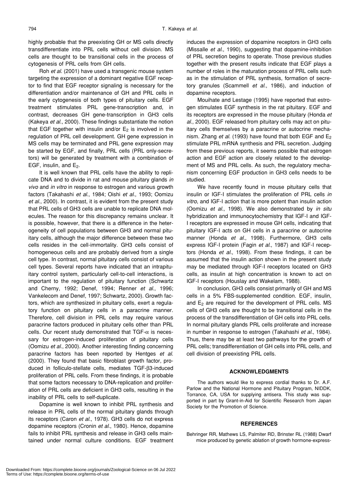highly probable that the preexisting GH or MS cells directly transdifferentiate into PRL cells without cell division. MS cells are thought to be transitional cells in the process of cytogenesis of PRL cells from GH cells.

Roh *et al*. (2001) have used a transgenic mouse system targeting the expression of a dominant negative EGF receptor to find that EGF receptor signaling is necessary for the differentiation and/or maintenance of GH and PRL cells in the early cytogenesis of both types of pituitary cells. EGF treatment stimulates PRL gene-transcription and, in contrast, decreases GH gene-transcription in GH3 cells (Kakeya *et al.*, 2000). These findings substantiate the notion that EGF together with insulin and/or  $E_2$  is involved in the regulation of PRL cell development. GH gene expression in MS cells may be terminated and PRL gene expression may be started by EGF, and finally, PRL cells (PRL only-secretors) will be generated by treatment with a combination of EGF, insulin, and  $E_2$ .

It is well known that PRL cells have the ability to replicate DNA and to divide in rat and mouse pituitary glands *in vivo* and *in vitro* in response to estrogen and various growth factors (Takahashi *et al*., 1984; Oishi *et al*., 1993; Oomizu *et al*., 2000). In contrast, it is evident from the present study that PRL cells of GH3 cells are unable to replicate DNA molecules. The reason for this discrepancy remains unclear. It is possible, however, that there is a difference in the heterogeneity of cell populations between GH3 and normal pituitary cells, although the major difference between these two cells resides in the cell-immortality. GH3 cells consist of homogeneous cells and are probably derived from a single cell type. In contrast, normal pituitary cells consist of various cell types. Several reports have indicated that an intrapituitary control system, particularly cell-to-cell interactions, is important to the regulation of pituitary function (Schwartz and Cherny, 1992; Denef, 1994; Renner *et al*., 1996; Vankelecom and Denef, 1997; Schwartz, 2000). Growth factors, which are synthesized in pituitary cells, exert a regulatory function on pituitary cells in a paracrine manner. Therefore, cell division in PRL cells may require various paracrine factors produced in pituitary cells other than PRL cells. Our recent study demonstrated that TGF- $\alpha$  is necessary for estrogen-induced proliferation of pituitary cells (Oomizu *et al*., 2000). Another interesting finding concerning paracrine factors has been reported by Hentges *et al*. (2000). They found that basic fibroblast growth factor, produced in folliculo-stellate cells, mediates TGF-β3-induced proliferation of PRL cells. From these findings, it is probable that some factors necessary to DNA-replication and proliferation of PRL cells are deficient in GH3 cells, resulting in the inability of PRL cells to self-duplicate.

Dopamine is well known to inhibit PRL synthesis and release in PRL cells of the normal pituitary glands through its receptors (Caron *et al*., 1978). GH3 cells do not express dopamine receptors (Cronin *et al*., 1980). Hence, dopamine fails to inhibit PRL synthesis and release in GH3 cells maintained under normal culture conditions. EGF treatment induces the expression of dopamine receptors in GH3 cells (Missalle *et al*., 1990), suggesting that dopamine-inhibition of PRL secretion begins to operate. Those previous studies together with the present results indicate that EGF plays a number of roles in the maturation process of PRL cells such as in the stimulation of PRL synthesis, formation of secretory granules (Scammell *et al*., 1986), and induction of dopamine receptors.

Mouihate and Lestage (1995) have reported that estrogen stimulates EGF synthesis in the rat pituitary. EGF and its receptors are expressed in the mouse pituitary (Honda *et al*., 2000). EGF released from pituitary cells may act on pituitary cells themselves by a paracrine or autocrine mechanism. Zhang *et al*. (1993) have found that both EGF and E2 stimulate PRL mRNA synthesis and PRL secretion. Judging from these previous reports, it seems possible that estrogen action and EGF action are closely related to the development of MS and PRL cells. As such, the regulatory mechanism concerning EGF production in GH3 cells needs to be studied.

We have recently found in mouse pituitary cells that insulin or IGF-I stimulates the proliferation of PRL cells *in vitro*, and IGF-I action that is more potent than insulin action (Oomizu *et al.*, 1998). We also demonstrated by *in situ* hybridization and immunocytochemistry that IGF-I and IGF-I receptors are expressed in mouse GH cells, indicating that pituitary IGF-I acts on GH cells in a paracrine or autocrine manner (Honda *et al*., 1998). Furthermore, GH3 cells express IGF-I protein (Fagin *et al*., 1987) and IGF-I receptors (Honda *et al.*, 1998). From these findings, it can be assumed that the insulin action shown in the present study may be mediated through IGF-I receptors located on GH3 cells, as insulin at high concentration is known to act on IGF-I receptors (Houslay and Wakelam, 1988).

In conclusion, GH3 cells consist primarily of GH and MS cells in a 5% FBS-supplemented condition. EGF, insulin, and  $E_2$  are required for the development of PRL cells. MS cells of GH3 cells are thought to be transitional cells in the process of the transdifferentiation of GH cells into PRL cells. In normal pituitary glands PRL cells proliferate and increase in number in response to estrogen (Takahashi *et al.*, 1984). Thus, there may be at least two pathways for the growth of PRL cells; transdifferentiation of GH cells into PRL cells, and cell division of preexisting PRL cells.

## **ACKNOWLEDGMENTS**

The authors would like to express cordial thanks to Dr. A.F. Parlow and the National Hormone and Pituitary Program, NIDDK, Torrance, CA, USA for supplying antisera. This study was supported in part by Grant-in-Aid for Scientific Research from Japan Society for the Promotion of Science.

#### **REFERENCES**

Behringer RR, Mathews LS, Palmiter RD, Brinster RL (1988) Dwarf mice produced by genetic ablation of growth hormone-express